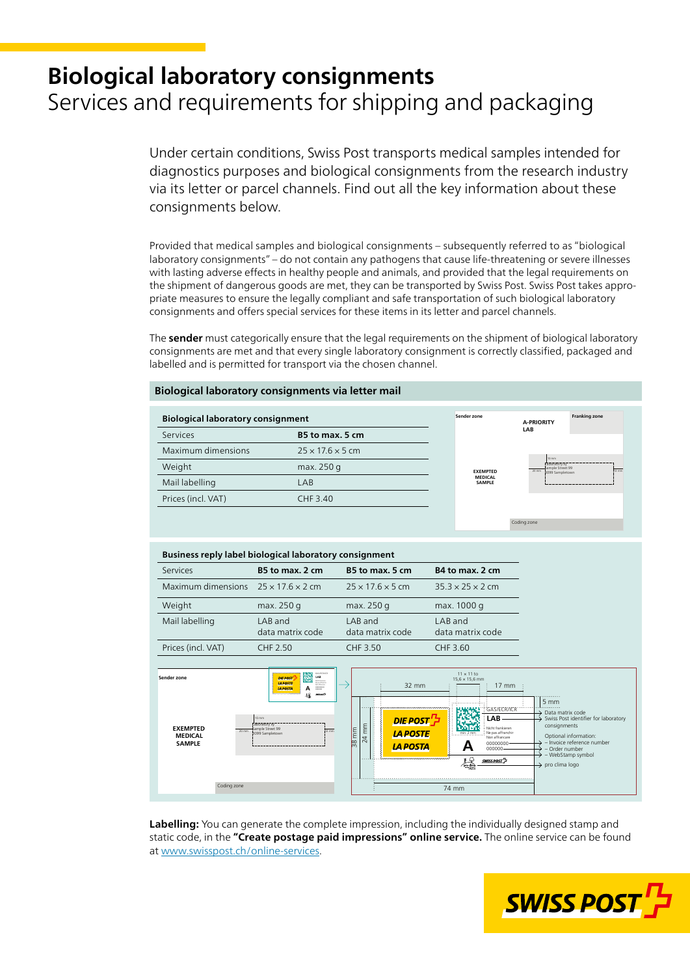# **Biological laboratory consignments** Services and requirements for shipping and packaging

Under certain conditions, Swiss Post transports medical samples intended for diagnostics purposes and biological consignments from the research industry via its letter or parcel channels. Find out all the key information about these consignments below.

Provided that medical samples and biological consignments – subsequently referred to as "biological laboratory consignments" – do not contain any pathogens that cause life-threatening or severe illnesses with lasting adverse effects in healthy people and animals, and provided that the legal requirements on the shipment of dangerous goods are met, they can be transported by Swiss Post. Swiss Post takes appropriate measures to ensure the legally compliant and safe transportation of such biological laboratory consignments and offers special services for these items in its letter and parcel channels.

The **sender** must categorically ensure that the legal requirements on the shipment of biological laboratory consignments are met and that every single laboratory consignment is correctly classified, packaged and labelled and is permitted for transport via the chosen channel.

## **Biological laboratory consignments via letter mail**

| <b>Biological laboratory consignment</b> |                              |  | Sender zone                     | <b>A-PRIORITY</b>                                                                                       | Franking zone |
|------------------------------------------|------------------------------|--|---------------------------------|---------------------------------------------------------------------------------------------------------|---------------|
| Services                                 | B5 to max. 5 cm              |  |                                 | LAB                                                                                                     |               |
| Maximum dimensions                       | $25 \times 17.6 \times 5$ cm |  |                                 | $10 \text{ mm}$<br>Laboratory xy<br>-Sample Street 99<br>- 3099 Sampletown<br>$112 \text{ mm}$<br>20 mm |               |
| Weight                                   | max. 250 g                   |  | <b>EXEMPTED</b>                 |                                                                                                         |               |
| Mail labelling                           | LAB                          |  | <b>MEDICAL</b><br><b>SAMPLE</b> |                                                                                                         |               |
| Prices (incl. VAT)                       | CHF 3.40                     |  |                                 |                                                                                                         |               |
|                                          |                              |  |                                 |                                                                                                         |               |

| Business reply label biological laboratory consignment                       |                                                                                                                                                                               |                                                                                                                                                                                               |                                                                                                                                                                                                                              |                                                                                                                                                                                                                                          |
|------------------------------------------------------------------------------|-------------------------------------------------------------------------------------------------------------------------------------------------------------------------------|-----------------------------------------------------------------------------------------------------------------------------------------------------------------------------------------------|------------------------------------------------------------------------------------------------------------------------------------------------------------------------------------------------------------------------------|------------------------------------------------------------------------------------------------------------------------------------------------------------------------------------------------------------------------------------------|
| Services                                                                     | B5 to max. 2 cm                                                                                                                                                               | B5 to max. 5 cm                                                                                                                                                                               | B4 to max. 2 cm                                                                                                                                                                                                              |                                                                                                                                                                                                                                          |
| Maximum dimensions                                                           | $25 \times 17.6 \times 2$ cm                                                                                                                                                  | $25 \times 17.6 \times 5$ cm                                                                                                                                                                  | $35.3 \times 25 \times 2$ cm                                                                                                                                                                                                 |                                                                                                                                                                                                                                          |
| Weight                                                                       | max. 250 g                                                                                                                                                                    | max. 250 g                                                                                                                                                                                    | max. 1000 g                                                                                                                                                                                                                  |                                                                                                                                                                                                                                          |
| Mail labelling                                                               | LAB and<br>data matrix code                                                                                                                                                   | LAB and<br>data matrix code                                                                                                                                                                   | LAB and<br>data matrix code                                                                                                                                                                                                  |                                                                                                                                                                                                                                          |
| Prices (incl. VAT)                                                           | <b>CHF 2.50</b>                                                                                                                                                               | CHF 3.50                                                                                                                                                                                      | CHF 3.60                                                                                                                                                                                                                     |                                                                                                                                                                                                                                          |
| Sender zone<br><b>EXEMPTED</b><br>$20$ mm<br><b>MEDICAL</b><br><b>SAMPLE</b> | 鵽<br>LAB<br><b>DIE POST</b><br><b>LA POSTE</b><br>00303000<br>А<br><b>LA POSTA</b><br>垛<br>sensent?<br>10 mm<br>Laboratory xy<br>Sample Street 99<br>12 mm<br>3099 Sampletown | 32 mm<br>,,,,,,,,,,,,,,,,,,,,,,,,,,,,,,,,,,,,<br>E POST' ב<br>mm<br>mm<br><b>LA POSTE</b><br>$\overline{24}$<br>$\frac{8}{3}$<br><b>LA POSTA</b><br><u>โทคคาคาคาคาคาคาคาคาคาคาคาคาคาคาค</u> า | $11 \times 11$ to<br>$15,6 \times 15,6$ mm<br>$17 \text{ mm}$<br>GAS/ECR/ICR<br>LAB<br>Nicht frankieren<br>Ne pas affranchir<br>Non affrancare<br>00000000<br>A<br>000000<br>$\frac{1}{\sqrt{2}}$<br>SWISS POST <sup>7</sup> | $5 \, \text{mm}$<br>Data matrix code<br>Swiss Post identifier for laboratory<br>consignments<br>Optional information:<br>- Invoice reference number<br>- Order number<br>$\rightarrow$ - WebStamp symbol<br>$\rightarrow$ pro clima logo |
| Coding zone                                                                  |                                                                                                                                                                               | 74 mm                                                                                                                                                                                         |                                                                                                                                                                                                                              |                                                                                                                                                                                                                                          |

**Labelling:** You can generate the complete impression, including the individually designed stamp and static code, in the **"Create postage paid impressions" online service.** The online service can be found at [www.swisspost.ch/online-services.](https://www.swisspost.ch/online-services)



Coding zone